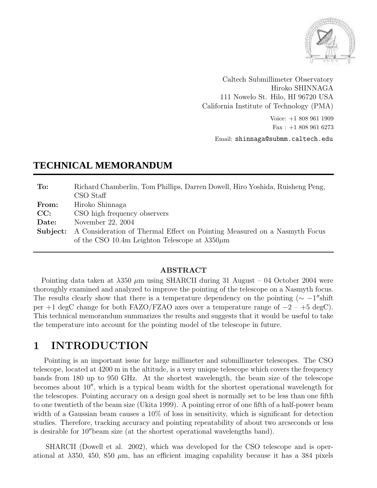

Caltech Submillimeter Observatory Hiroko SHINNAGA 111 Nowelo St. Hilo, HI 96720 USA California Institute of Technology (PMA)

> Voice: +1 808 961 1909 Fax : +1 808 961 6273

Email: shinnaga@submm.caltech.edu

## **TECHNICAL MEMORANDUM**

| To:      | Richard Chamberlin, Tom Phillips, Darren Dowell, Hiro Yoshida, Ruisheng Peng,<br>CSO Staff |
|----------|--------------------------------------------------------------------------------------------|
|          |                                                                                            |
| From:    | Hiroko Shinnaga                                                                            |
| CC:      | CSO high frequency observers                                                               |
| Date:    | November 22, 2004                                                                          |
| Subject: | A Consideration of Thermal Effect on Pointing Measured on a Nasmyth Focus                  |
|          | of the CSO 10.4m Leighton Telescope at $\lambda 350 \mu$ m                                 |

#### ABSTRACT

Pointing data taken at  $\lambda$ 350  $\mu$ m using SHARCII during 31 August – 04 October 2004 were thoroughly examined and analyzed to improve the pointing of the telescope on a Nasmyth focus. The results clearly show that there is a temperature dependency on the pointing  $(\sim -1$ <sup>"</sup>shift" per +1 degC change for both FAZO/FZAO axes over a temperature range of  $-2 - +5$  degC). This technical memorandum summarizes the results and suggests that it would be useful to take the temperature into account for the pointing model of the telescope in future.

# 1 INTRODUCTION

Pointing is an important issue for large millimeter and submillimeter telescopes. The CSO telescope, located at 4200 m in the altitude, is a very unique telescope which covers the frequency bands from 180 up to 950 GHz. At the shortest wavelength, the beam size of the telescope becomes about  $10''$ , which is a typical beam width for the shortest operational wavelength for the telescopes. Pointing accuracy on a design goal sheet is normally set to be less than one fifth to one twentieth of the beam size (Ukita 1999). A pointing error of one fifth of a half-power beam width of a Gaussian beam causes a  $10\%$  of loss in sensitivity, which is significant for detection studies. Therefore, tracking accuracy and pointing repeatability of about two arcseconds or less is desirable for  $10^{\prime\prime}$  beam size (at the shortest operational wavelengths band).

SHARCII (Dowell et al. 2002), which was developed for the CSO telescope and is operational at  $\lambda$ 350, 450, 850  $\mu$ m, has an efficient imaging capability because it has a 384 pixels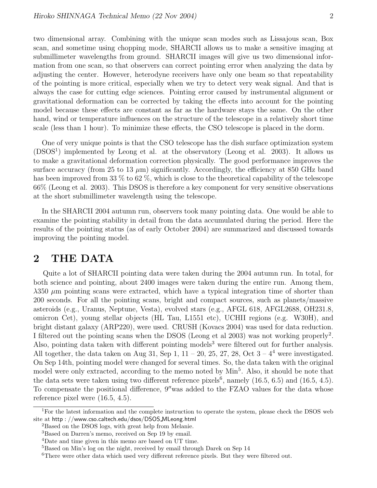two dimensional array. Combining with the unique scan modes such as Lissajous scan, Box scan, and sometime using chopping mode, SHARCII allows us to make a sensitive imaging at submillimeter wavelengths from ground. SHARCII images will give us two dimensional information from one scan, so that observers can correct pointing error when analyzing the data by adjusting the center. However, heterodyne receivers have only one beam so that repeatability of the pointing is more critical, especially when we try to detect very weak signal. And that is always the case for cutting edge sciences. Pointing error caused by instrumental alignment or gravitational deformation can be corrected by taking the effects into account for the pointing model because these effects are constant as far as the hardware stays the same. On the other hand, wind or temperature influences on the structure of the telescope in a relatively short time scale (less than 1 hour). To minimize these effects, the CSO telescope is placed in the dorm.

One of very unique points is that the CSO telescope has the dish surface optimization system (DSOS<sup>1</sup>) implemented by Leong et al. at the observatory (Leong et al. 2003). It allows us to make a gravitational deformation correction physically. The good performance improves the surface accuracy (from 25 to 13  $\mu$ m) significantly. Accordingly, the efficiency at 850 GHz band has been improved from 33 % to 62 %, which is close to the theoretical capability of the telescope 66% (Leong et al. 2003). This DSOS is therefore a key component for very sensitive observations at the short submillimeter wavelength using the telescope.

In the SHARCII 2004 autumn run, observers took many pointing data. One would be able to examine the pointing stability in detail from the data accumulated during the period. Here the results of the pointing status (as of early October 2004) are summarized and discussed towards improving the pointing model.

### 2 THE DATA

Quite a lot of SHARCII pointing data were taken during the 2004 autumn run. In total, for both science and pointing, about 2400 images were taken during the entire run. Among them,  $\lambda$ 350  $\mu$ m pointing scans were extracted, which have a typical integration time of shorter than 200 seconds. For all the pointing scans, bright and compact sources, such as planets/massive asteroids (e.g., Uranus, Neptune, Vesta), evolved stars (e.g., AFGL 618, AFGL2688, OH231.8, omicron Cet), young stellar objects (HL Tau, L1551 etc), UCHII regions (e.g. W30H), and bright distant galaxy (ARP220), were used. CRUSH (Kovacs 2004) was used for data reduction. I filtered out the pointing scans when the DSOS (Leong et al 2003) was not working properly<sup>2</sup>. Also, pointing data taken with different pointing models<sup>3</sup> were filtered out for further analysis. All together, the data taken on Aug 31, Sep 1,  $11 - 20$ , 25, 27, 28, Oct  $3 - 4^4$  were investigated. On Sep 14th, pointing model were changed for several times. So, the data taken with the original model were only extracted, according to the memo noted by Min<sup>5</sup>. Also, it should be note that the data sets were taken using two different reference pixels<sup>6</sup>, namely  $(16.5, 6.5)$  and  $(16.5, 4.5)$ . To compensate the positional difference, 9"was added to the FZAO values for the data whose reference pixel were (16.5, 4.5).

<sup>&</sup>lt;sup>1</sup>For the latest information and the complete instruction to operate the system, please check the DSOS web site at http : //www.cso.caltech.edu/dsos/DSOS MLeong.html

<sup>2</sup>Based on the DSOS logs, with great help from Melanie.

<sup>3</sup>Based on Darren's memo, received on Sep 19 by email.

<sup>4</sup>Date and time given in this memo are based on UT time.

<sup>&</sup>lt;sup>5</sup>Based on Min's log on the night, received by email through Darek on Sep 14

<sup>&</sup>lt;sup>6</sup>There were other data which used very different reference pixels. But they were filtered out.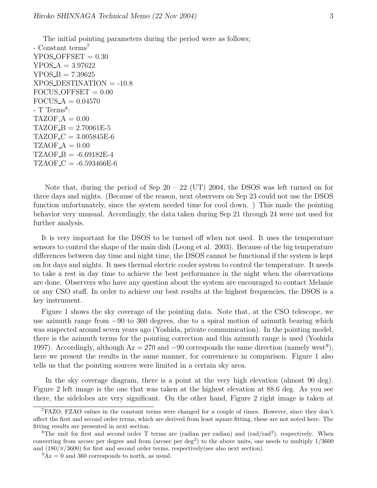The initial pointing parameters during the period were as follows; - Constant terms<sup>7</sup>  $YPOS_OFFSET = 0.30$  $YPOS A = 3.97622$  $YPOS_B = 7.39625$  $XPOS\text{-}DESTIMATION = -10.8$  $FOCUS \_OFFSET = 0.00$  $FOCUS A = 0.04570$ - T Terms<sup>8</sup>:  $TAZOF_A = 0.00$  $TAZOF_B = 2.70061E-5$  $TAZOF_C = 3.005845E-6$  $TZAOF_A = 0.00$  $TZAOF_B = -6.69182E-4$  $TZAOF_C = -6.593466E-6$ 

Note that, during the period of Sep  $20 - 22$  (UT) 2004, the DSOS was left turned on for three days and nights. (Because of the reason, next observers on Sep 23 could not use the DSOS function unfortunately, since the system needed time for cool down. ) This made the pointing behavior very unusual. Accordingly, the data taken during Sep 21 through 24 were not used for further analysis.

It is very important for the DSOS to be turned off when not used. It uses the temperature sensors to control the shape of the main dish (Leong et al. 2003). Because of the big temperature differences between day time and night time, the DSOS cannot be functional if the system is kept on for days and nights. It uses thermal electric cooler system to control the temperature. It needs to take a rest in day time to achieve the best performance in the night when the observations are done. Observers who have any question about the system are encouraged to contact Melanie or any CSO staff. In order to achieve our best results at the highest frequencies, the DSOS is a key instrument.

Figure 1 shows the sky coverage of the pointing data. Note that, at the CSO telescope, we use azimuth range from −90 to 360 degrees, due to a spiral motion of azimuth bearing which was suspected around seven years ago (Yoshida, private communication). In the pointing model, there is the azimuth terms for the pointing correction and this azimuth range is used (Yoshida 1997). Accordingly, although  $Az = 270$  and  $-90$  corresponds the same direction (namely west<sup>9</sup>), here we present the results in the same manner, for convenience in comparison. Figure 1 also tells us that the pointing sources were limited in a certain sky area.

In the sky coverage diagram, there is a point at the very high elevation (almost 90 deg). Figure 2 left image is the one that was taken at the highest elevation at 88.6 deg. As you see there, the sidelobes are very significant. On the other hand, Figure 2 right image is taken at

<sup>7</sup>FAZO, FZAO values in the constant terms were changed for a couple of times. However, since they don't affect the first and second order terms, which are derived from least square fitting, these are not noted here. The fitting results are presented in next section.

<sup>&</sup>lt;sup>8</sup>The unit for first and second order T terms are (radian per radian) and (rad/rad<sup>2</sup>), respectively. When converting from arcsec per degree and from (arcsec per deg<sup>2</sup>) to the above units, one needs to multiply  $1/3600$ and  $(180/\pi/3600)$  for first and second order terms, respectively(see also next section).

 $^{9}Az = 0$  and 360 corresponds to north, as usual.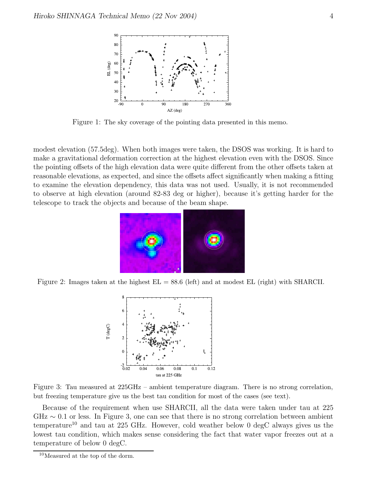

Figure 1: The sky coverage of the pointing data presented in this memo.

modest elevation (57.5deg). When both images were taken, the DSOS was working. It is hard to make a gravitational deformation correction at the highest elevation even with the DSOS. Since the pointing offsets of the high elevation data were quite different from the other offsets taken at reasonable elevations, as expected, and since the offsets affect significantly when making a fitting to examine the elevation dependency, this data was not used. Usually, it is not recommended to observe at high elevation (around 82-83 deg or higher), because it's getting harder for the telescope to track the objects and because of the beam shape.



Figure 2: Images taken at the highest  $EL = 88.6$  (left) and at modest  $EL$  (right) with SHARCII.



Figure 3: Tau measured at 225GHz – ambient temperature diagram. There is no strong correlation, but freezing temperature give us the best tau condition for most of the cases (see text).

Because of the requirement when use SHARCII, all the data were taken under tau at 225  $GHz \sim 0.1$  or less. In Figure 3, one can see that there is no strong correlation between ambient temperature<sup>10</sup> and tau at 225 GHz. However, cold weather below 0 degC always gives us the lowest tau condition, which makes sense considering the fact that water vapor freezes out at a temperature of below 0 degC.

<sup>10</sup>Measured at the top of the dorm.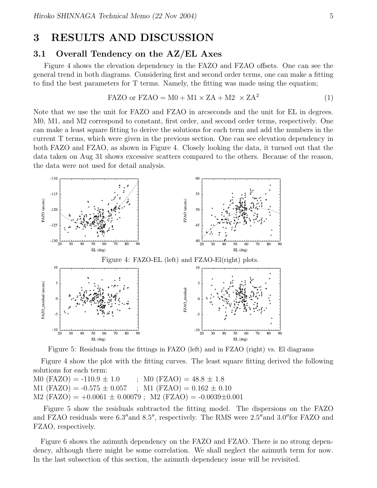### 3 RESULTS AND DISCUSSION

#### 3.1 Overall Tendency on the AZ/EL Axes

Figure 4 shows the elevation dependency in the FAZO and FZAO offsets. One can see the general trend in both diagrams. Considering first and second order terms, one can make a fitting to find the best parameters for T terms. Namely, the fitting was made using the equation;

$$
FAZO \text{ or } FZAO = M0 + M1 \times ZA + M2 \times ZA^2 \tag{1}
$$

Note that we use the unit for FAZO and FZAO in arcseconds and the unit for EL in degrees. M0, M1, and M2 correspond to constant, first order, and second order terms, respectively. One can make a least square fitting to derive the solutions for each term and add the numbers in the current T terms, which were given in the previous section. One can see elevation dependency in both FAZO and FZAO, as shown in Figure 4. Closely looking the data, it turned out that the data taken on Aug 31 shows excessive scatters compared to the others. Because of the reason, the data were not used for detail analysis.



Figure 5: Residuals from the fittings in FAZO (left) and in FZAO (right) vs. El diagrams

Figure 4 show the plot with the fitting curves. The least square fitting derived the following solutions for each term:

M0  $(FAZO) = -110.9 \pm 1.0$  ; M0  $(FZAO) = 48.8 \pm 1.8$ M1 (FAZO) =  $-0.575 \pm 0.057$ ; M1 (FZAO) =  $0.162 \pm 0.10$  $M2 (FAZO) = +0.0061 \pm 0.00079$ ;  $M2 (FZAO) = -0.0039 \pm 0.001$ 

Figure 5 show the residuals subtracted the fitting model. The dispersions on the FAZO and FZAO residuals were 6.3" and 8.5", respectively. The RMS were  $2.5$ " and  $3.0$ " for FAZO and FZAO, respectively.

Figure 6 shows the azimuth dependency on the FAZO and FZAO. There is no strong dependency, although there might be some correlation. We shall neglect the azimuth term for now. In the last subsection of this section, the azimuth dependency issue will be revisited.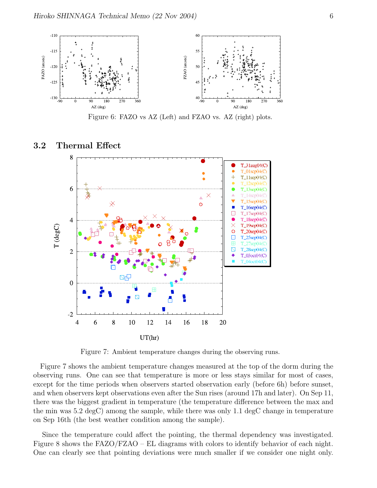

Figure 6: FAZO vs AZ (Left) and FZAO vs. AZ (right) plots.

#### 3.2 Thermal Effect



Figure 7: Ambient temperature changes during the observing runs.

Figure 7 shows the ambient temperature changes measured at the top of the dorm during the observing runs. One can see that temperature is more or less stays similar for most of cases, except for the time periods when observers started observation early (before 6h) before sunset, and when observers kept observations even after the Sun rises (around 17h and later). On Sep 11, there was the biggest gradient in temperature (the temperature difference between the max and the min was 5.2 degC) among the sample, while there was only 1.1 degC change in temperature on Sep 16th (the best weather condition among the sample).

Since the temperature could affect the pointing, the thermal dependency was investigated. Figure 8 shows the FAZO/FZAO – EL diagrams with colors to identify behavior of each night. One can clearly see that pointing deviations were much smaller if we consider one night only.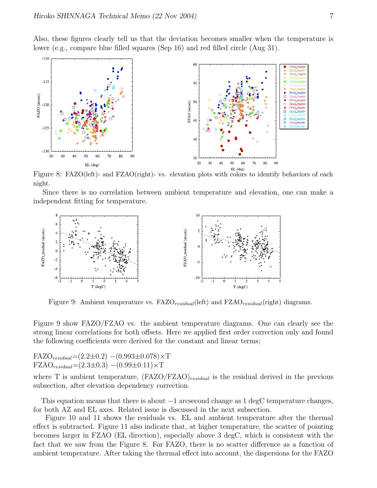Also, these figures clearly tell us that the deviation becomes smaller when the temperature is lower (e.g., compare blue filled squares (Sep 16) and red filled circle (Aug 31).



Figure 8: FAZO(left)- and FZAO(right)- vs. elevation plots with colors to identify behaviors of each night.

Since there is no correlation between ambient temperature and elevation, one can make a independent fitting for temperature.



Figure 9: Ambient temperature vs.  $FAZO_{residual}$  (left) and  $FAO_{residual}$  (right) diagrams.

Figure 9 show FAZO/FZAO vs. the ambient temperature diagrams. One can clearly see the strong linear correlations for both offsets. Here we applied first order correction only and found the following coefficients were derived for the constant and linear terms;

 $FAZO_{residual} = (2.2 \pm 0.2) - (0.993 \pm 0.078) \times T$  ${\rm FZAO}_{residual}$ = $(2.3\pm0.3)$  – $(0.99\pm0.11)\times$ T

where T is ambient temperature,  $(FAZO/FZAO)_{residual}$  is the residual derived in the previous subsection, after elevation dependency correction.

This equation means that there is about  $-1$  arcsecond change as 1 degC temperature changes, for both AZ and EL axes. Related issue is discussed in the next subsection.

Figure 10 and 11 shows the residuals vs. EL and ambient temperature after the thermal effect is subtracted. Figure 11 also indicate that, at higher temperature, the scatter of pointing becomes larger in FZAO (EL direction), especially above 3 degC, which is consistent with the fact that we saw from the Figure 8. For FAZO, there is no scatter difference as a function of ambient temperature. After taking the thermal effect into account, the dispersions for the FAZO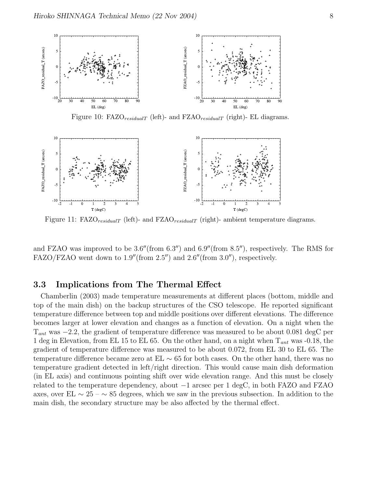

Figure 10: FAZO $_{residualT}$  (left)- and FZAO $_{residualT}$  (right)- EL diagrams.



Figure 11:  $FAZO_{residualT}$  (left)- and  $FZAO_{residualT}$  (right)- ambient temperature diagrams.

and FZAO was improved to be  $3.6''$ (from  $6.3'$ ) and  $6.9''$ (from  $8.5'$ ), respectively. The RMS for FAZO/FZAO went down to  $1.9''$  (from  $2.5''$ ) and  $2.6''$  (from  $3.0''$ ), respectively.

#### 3.3 Implications from The Thermal Effect

Chamberlin (2003) made temperature measurements at different places (bottom, middle and top of the main dish) on the backup structures of the CSO telescope. He reported significant temperature difference between top and middle positions over different elevations. The difference becomes larger at lower elevation and changes as a function of elevation. On a night when the  $T_{ant}$  was  $-2.2$ , the gradient of temperature difference was measured to be about 0.081 degC per 1 deg in Elevation, from EL 15 to EL 65. On the other hand, on a night when  $T_{ant}$  was -0.18, the gradient of temperature difference was measured to be about 0.072, from EL 30 to EL 65. The temperature difference became zero at  $EL \sim 65$  for both cases. On the other hand, there was no temperature gradient detected in left/right direction. This would cause main dish deformation (in EL axis) and continuous pointing shift over wide elevation range. And this must be closely related to the temperature dependency, about −1 arcsec per 1 degC, in both FAZO and FZAO axes, over EL  $\sim 25 - \sim 85$  degrees, which we saw in the previous subsection. In addition to the main dish, the secondary structure may be also affected by the thermal effect.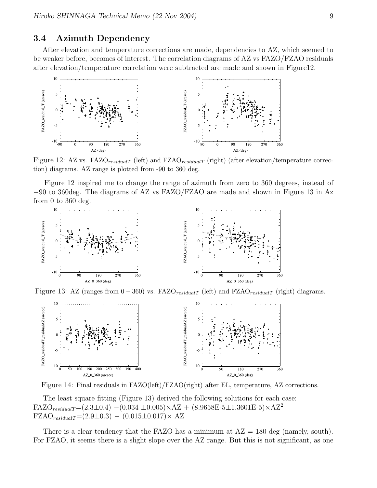#### 3.4 Azimuth Dependency

After elevation and temperature corrections are made, dependencies to AZ, which seemed to be weaker before, becomes of interest. The correlation diagrams of AZ vs FAZO/FZAO residuals after elevation/temperature correlation were subtracted are made and shown in Figure12.



Figure 12: AZ vs.  $FAZO_{residualT}$  (left) and  $FZAO_{residualT}$  (right) (after elevation/temperature correction) diagrams. AZ range is plotted from -90 to 360 deg.

Figure 12 inspired me to change the range of azimuth from zero to 360 degrees, instead of −90 to 360deg. The diagrams of AZ vs FAZO/FZAO are made and shown in Figure 13 in Az from 0 to 360 deg.



Figure 13: AZ (ranges from  $0 - 360$ ) vs. FAZO<sub>residualT</sub> (left) and FZAO<sub>residualT</sub> (right) diagrams.



Figure 14: Final residuals in FAZO(left)/FZAO(right) after EL, temperature, AZ corrections.

The least square fitting (Figure 13) derived the following solutions for each case: FAZO<sub>residualT</sub>=(2.3±0.4) –(0.034 ±0.005)×AZ + (8.9658E-5±1.3601E-5)×AZ<sup>2</sup>  ${\rm FZAO}_{residualT} = (2.9 \pm 0.3) - (0.015 \pm 0.017) \times AZ$ 

There is a clear tendency that the FAZO has a minimum at  $AZ = 180$  deg (namely, south). For FZAO, it seems there is a slight slope over the AZ range. But this is not significant, as one